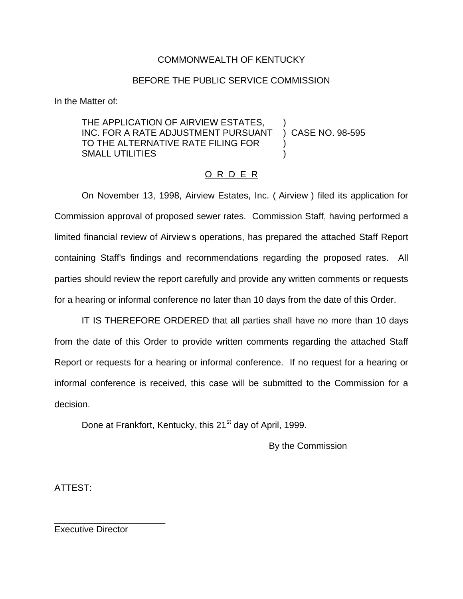### COMMONWEALTH OF KENTUCKY

#### BEFORE THE PUBLIC SERVICE COMMISSION

In the Matter of:

THE APPLICATION OF AIRVIEW ESTATES, INC. FOR A RATE ADJUSTMENT PURSUANT ) CASE NO. 98-595 TO THE ALTERNATIVE RATE FILING FOR ) SMALL UTILITIES )

### O R D E R

On November 13, 1998, Airview Estates, Inc. ( Airview ) filed its application for Commission approval of proposed sewer rates. Commission Staff, having performed a limited financial review of Airview s operations, has prepared the attached Staff Report containing Staff's findings and recommendations regarding the proposed rates. All parties should review the report carefully and provide any written comments or requests for a hearing or informal conference no later than 10 days from the date of this Order.

IT IS THEREFORE ORDERED that all parties shall have no more than 10 days from the date of this Order to provide written comments regarding the attached Staff Report or requests for a hearing or informal conference. If no request for a hearing or informal conference is received, this case will be submitted to the Commission for a decision.

Done at Frankfort, Kentucky, this 21<sup>st</sup> day of April, 1999.

By the Commission

ATTEST:

Executive Director

\_\_\_\_\_\_\_\_\_\_\_\_\_\_\_\_\_\_\_\_\_\_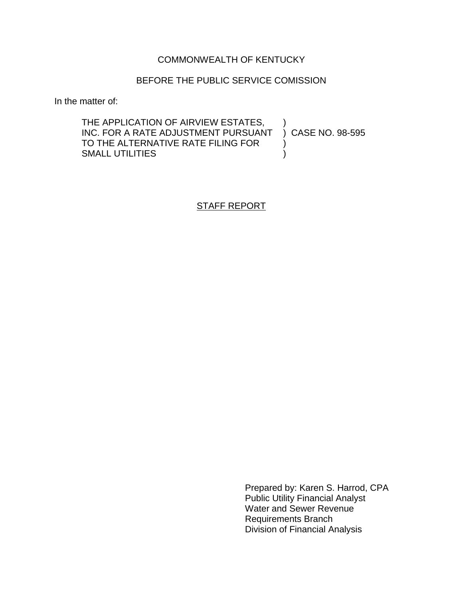# COMMONWEALTH OF KENTUCKY

### BEFORE THE PUBLIC SERVICE COMISSION

In the matter of:

| THE APPLICATION OF AIRVIEW ESTATES,                   |  |
|-------------------------------------------------------|--|
| INC. FOR A RATE ADJUSTMENT PURSUANT ) CASE NO. 98-595 |  |
| TO THE ALTERNATIVE RATE FILING FOR                    |  |
| <b>SMALL UTILITIES</b>                                |  |

# STAFF REPORT

Prepared by: Karen S. Harrod, CPA Public Utility Financial Analyst Water and Sewer Revenue Requirements Branch Division of Financial Analysis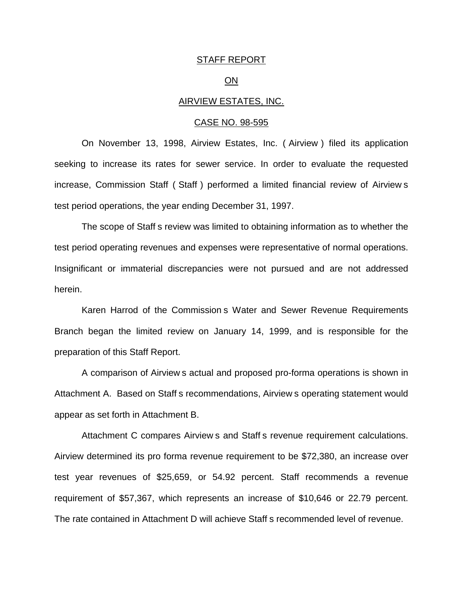#### STAFF REPORT

#### ON

#### AIRVIEW ESTATES, INC.

#### CASE NO. 98-595

On November 13, 1998, Airview Estates, Inc. ( Airview ) filed its application seeking to increase its rates for sewer service. In order to evaluate the requested increase, Commission Staff ( Staff ) performed a limited financial review of Airview s test period operations, the year ending December 31, 1997.

The scope of Staff s review was limited to obtaining information as to whether the test period operating revenues and expenses were representative of normal operations. Insignificant or immaterial discrepancies were not pursued and are not addressed herein.

Karen Harrod of the Commission s Water and Sewer Revenue Requirements Branch began the limited review on January 14, 1999, and is responsible for the preparation of this Staff Report.

A comparison of Airview s actual and proposed pro-forma operations is shown in Attachment A. Based on Staff s recommendations, Airview s operating statement would appear as set forth in Attachment B.

Attachment C compares Airview s and Staff s revenue requirement calculations. Airview determined its pro forma revenue requirement to be \$72,380, an increase over test year revenues of \$25,659, or 54.92 percent. Staff recommends a revenue requirement of \$57,367, which represents an increase of \$10,646 or 22.79 percent. The rate contained in Attachment D will achieve Staff s recommended level of revenue.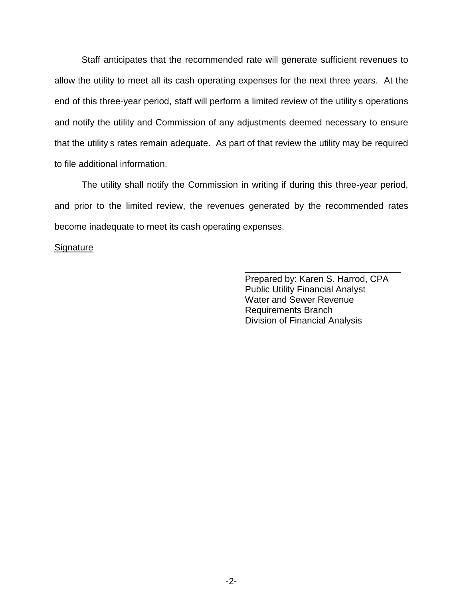Staff anticipates that the recommended rate will generate sufficient revenues to allow the utility to meet all its cash operating expenses for the next three years. At the end of this three-year period, staff will perform a limited review of the utility s operations and notify the utility and Commission of any adjustments deemed necessary to ensure that the utility s rates remain adequate. As part of that review the utility may be required to file additional information.

The utility shall notify the Commission in writing if during this three-year period, and prior to the limited review, the revenues generated by the recommended rates become inadequate to meet its cash operating expenses.

#### **Signature**

Prepared by: Karen S. Harrod, CPA Public Utility Financial Analyst Water and Sewer Revenue Requirements Branch Division of Financial Analysis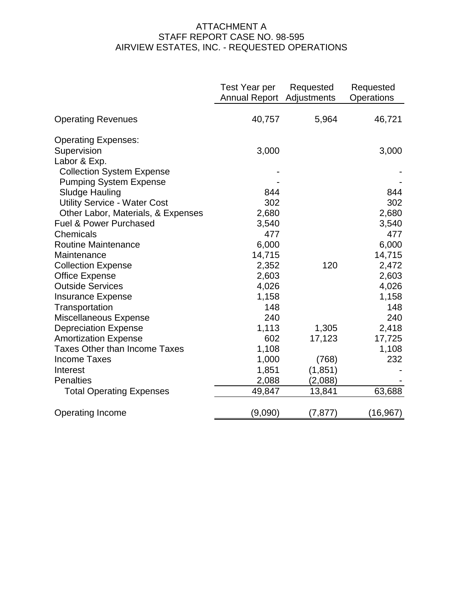### ATTACHMENT A STAFF REPORT CASE NO. 98-595 AIRVIEW ESTATES, INC. - REQUESTED OPERATIONS

|                                      | <b>Test Year per</b><br><b>Annual Report Adjustments</b> | Requested | Requested<br>Operations |
|--------------------------------------|----------------------------------------------------------|-----------|-------------------------|
| <b>Operating Revenues</b>            | 40,757                                                   | 5,964     | 46,721                  |
| <b>Operating Expenses:</b>           |                                                          |           |                         |
| Supervision                          | 3,000                                                    |           | 3,000                   |
| Labor & Exp.                         |                                                          |           |                         |
| <b>Collection System Expense</b>     |                                                          |           |                         |
| <b>Pumping System Expense</b>        |                                                          |           |                         |
| <b>Sludge Hauling</b>                | 844                                                      |           | 844                     |
| <b>Utility Service - Water Cost</b>  | 302                                                      |           | 302                     |
| Other Labor, Materials, & Expenses   | 2,680                                                    |           | 2,680                   |
| <b>Fuel &amp; Power Purchased</b>    | 3,540                                                    |           | 3,540                   |
| Chemicals                            | 477                                                      |           | 477                     |
| <b>Routine Maintenance</b>           | 6,000                                                    |           | 6,000                   |
| Maintenance                          | 14,715                                                   |           | 14,715                  |
| <b>Collection Expense</b>            | 2,352                                                    | 120       | 2,472                   |
| <b>Office Expense</b>                | 2,603                                                    |           | 2,603                   |
| <b>Outside Services</b>              | 4,026                                                    |           | 4,026                   |
| <b>Insurance Expense</b>             | 1,158                                                    |           | 1,158                   |
| Transportation                       | 148                                                      |           | 148                     |
| Miscellaneous Expense                | 240                                                      |           | 240                     |
| <b>Depreciation Expense</b>          | 1,113                                                    | 1,305     | 2,418                   |
| <b>Amortization Expense</b>          | 602                                                      | 17,123    | 17,725                  |
| <b>Taxes Other than Income Taxes</b> | 1,108                                                    |           | 1,108                   |
| <b>Income Taxes</b>                  | 1,000                                                    | (768)     | 232                     |
| Interest                             | 1,851                                                    | (1, 851)  |                         |
| <b>Penalties</b>                     | 2,088                                                    | (2,088)   |                         |
| <b>Total Operating Expenses</b>      | 49,847                                                   | 13,841    | 63,688                  |
| <b>Operating Income</b>              | (9,090)                                                  | (7,877)   | (16,967)                |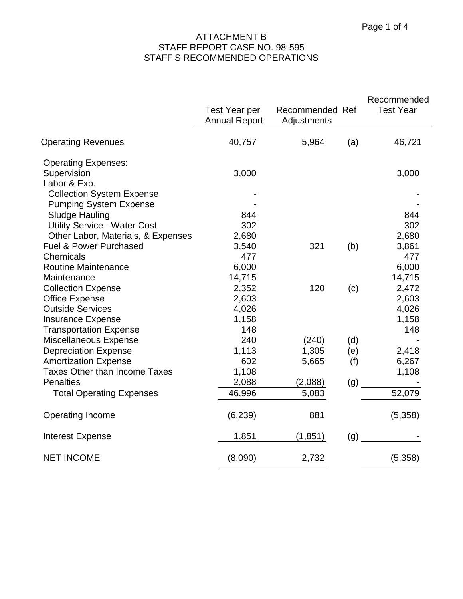|                                      | Test Year per<br><b>Annual Report</b> | Recommended Ref<br>Adjustments |     | Recommended<br><b>Test Year</b> |
|--------------------------------------|---------------------------------------|--------------------------------|-----|---------------------------------|
| <b>Operating Revenues</b>            | 40,757                                | 5,964                          | (a) | 46,721                          |
| <b>Operating Expenses:</b>           |                                       |                                |     |                                 |
| Supervision                          | 3,000                                 |                                |     | 3,000                           |
| Labor & Exp.                         |                                       |                                |     |                                 |
| <b>Collection System Expense</b>     |                                       |                                |     |                                 |
| <b>Pumping System Expense</b>        |                                       |                                |     |                                 |
| <b>Sludge Hauling</b>                | 844                                   |                                |     | 844                             |
| <b>Utility Service - Water Cost</b>  | 302                                   |                                |     | 302                             |
| Other Labor, Materials, & Expenses   | 2,680                                 |                                |     | 2,680                           |
| Fuel & Power Purchased               | 3,540                                 | 321                            | (b) | 3,861                           |
| <b>Chemicals</b>                     | 477                                   |                                |     | 477                             |
| <b>Routine Maintenance</b>           | 6,000                                 |                                |     | 6,000                           |
| Maintenance                          | 14,715                                |                                |     | 14,715                          |
| <b>Collection Expense</b>            | 2,352                                 | 120                            | (c) | 2,472                           |
| <b>Office Expense</b>                | 2,603                                 |                                |     | 2,603                           |
| <b>Outside Services</b>              | 4,026                                 |                                |     | 4,026                           |
| <b>Insurance Expense</b>             | 1,158                                 |                                |     | 1,158                           |
| <b>Transportation Expense</b>        | 148                                   |                                |     | 148                             |
| Miscellaneous Expense                | 240                                   | (240)                          | (d) |                                 |
| <b>Depreciation Expense</b>          | 1,113                                 | 1,305                          | (e) | 2,418                           |
| <b>Amortization Expense</b>          | 602                                   | 5,665                          | (f) | 6,267                           |
| <b>Taxes Other than Income Taxes</b> | 1,108                                 |                                |     | 1,108                           |
| <b>Penalties</b>                     | 2,088                                 | (2,088)                        | (g) |                                 |
| <b>Total Operating Expenses</b>      | 46,996                                | 5,083                          |     | 52,079                          |
| Operating Income                     | (6, 239)                              | 881                            |     | (5,358)                         |
| <b>Interest Expense</b>              | 1,851                                 | (1, 851)                       | (g) |                                 |
| <b>NET INCOME</b>                    | (8,090)                               | 2,732                          |     | (5,358)                         |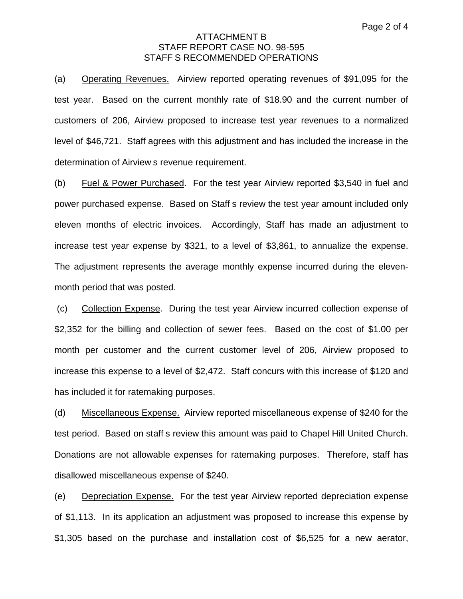(a) Operating Revenues. Airview reported operating revenues of \$91,095 for the test year. Based on the current monthly rate of \$18.90 and the current number of customers of 206, Airview proposed to increase test year revenues to a normalized level of \$46,721. Staff agrees with this adjustment and has included the increase in the determination of Airview s revenue requirement.

(b) Fuel & Power Purchased. For the test year Airview reported \$3,540 in fuel and power purchased expense. Based on Staff s review the test year amount included only eleven months of electric invoices. Accordingly, Staff has made an adjustment to increase test year expense by \$321, to a level of \$3,861, to annualize the expense. The adjustment represents the average monthly expense incurred during the elevenmonth period that was posted.

(c) Collection Expense. During the test year Airview incurred collection expense of \$2,352 for the billing and collection of sewer fees. Based on the cost of \$1.00 per month per customer and the current customer level of 206, Airview proposed to increase this expense to a level of \$2,472. Staff concurs with this increase of \$120 and has included it for ratemaking purposes.

(d) Miscellaneous Expense. Airview reported miscellaneous expense of \$240 for the test period. Based on staff s review this amount was paid to Chapel Hill United Church. Donations are not allowable expenses for ratemaking purposes. Therefore, staff has disallowed miscellaneous expense of \$240.

(e) Depreciation Expense. For the test year Airview reported depreciation expense of \$1,113. In its application an adjustment was proposed to increase this expense by \$1,305 based on the purchase and installation cost of \$6,525 for a new aerator,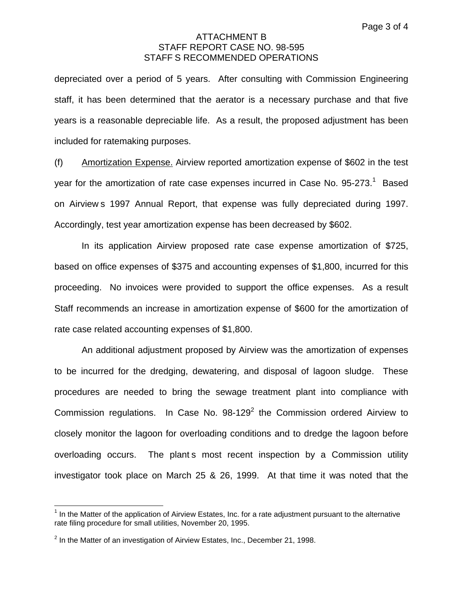depreciated over a period of 5 years. After consulting with Commission Engineering staff, it has been determined that the aerator is a necessary purchase and that five years is a reasonable depreciable life. As a result, the proposed adjustment has been included for ratemaking purposes.

(f) Amortization Expense. Airview reported amortization expense of \$602 in the test year for the amortization of rate case expenses incurred in Case No. 95-273.<sup>1</sup> Based on Airview s 1997 Annual Report, that expense was fully depreciated during 1997. Accordingly, test year amortization expense has been decreased by \$602.

In its application Airview proposed rate case expense amortization of \$725, based on office expenses of \$375 and accounting expenses of \$1,800, incurred for this proceeding. No invoices were provided to support the office expenses. As a result Staff recommends an increase in amortization expense of \$600 for the amortization of rate case related accounting expenses of \$1,800.

An additional adjustment proposed by Airview was the amortization of expenses to be incurred for the dredging, dewatering, and disposal of lagoon sludge. These procedures are needed to bring the sewage treatment plant into compliance with Commission regulations. In Case No.  $98-129^2$  the Commission ordered Airview to closely monitor the lagoon for overloading conditions and to dredge the lagoon before overloading occurs. The plant s most recent inspection by a Commission utility investigator took place on March 25 & 26, 1999. At that time it was noted that the

 $1$  In the Matter of the application of Airview Estates, Inc. for a rate adjustment pursuant to the alternative rate filing procedure for small utilities, November 20, 1995.

 $2$  In the Matter of an investigation of Airview Estates, Inc., December 21, 1998.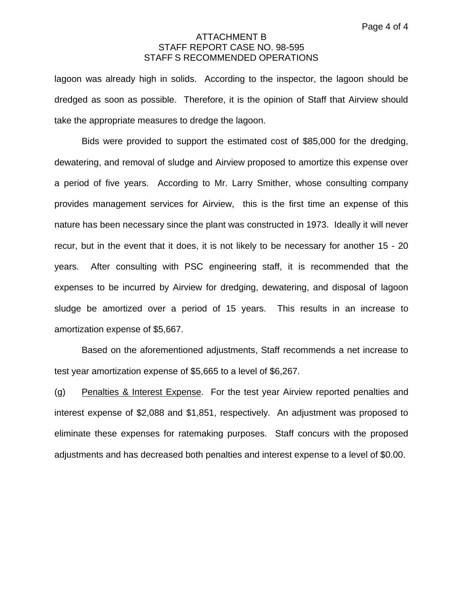lagoon was already high in solids. According to the inspector, the lagoon should be dredged as soon as possible. Therefore, it is the opinion of Staff that Airview should take the appropriate measures to dredge the lagoon.

Bids were provided to support the estimated cost of \$85,000 for the dredging, dewatering, and removal of sludge and Airview proposed to amortize this expense over a period of five years. According to Mr. Larry Smither, whose consulting company provides management services for Airview, this is the first time an expense of this nature has been necessary since the plant was constructed in 1973. Ideally it will never recur, but in the event that it does, it is not likely to be necessary for another 15 - 20 years. After consulting with PSC engineering staff, it is recommended that the expenses to be incurred by Airview for dredging, dewatering, and disposal of lagoon sludge be amortized over a period of 15 years. This results in an increase to amortization expense of \$5,667.

Based on the aforementioned adjustments, Staff recommends a net increase to test year amortization expense of \$5,665 to a level of \$6,267.

(g) Penalties & Interest Expense. For the test year Airview reported penalties and interest expense of \$2,088 and \$1,851, respectively. An adjustment was proposed to eliminate these expenses for ratemaking purposes. Staff concurs with the proposed adjustments and has decreased both penalties and interest expense to a level of \$0.00.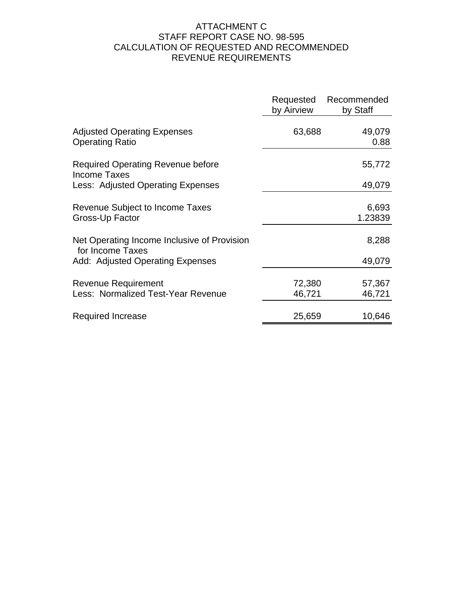## ATTACHMENT C STAFF REPORT CASE NO. 98-595 CALCULATION OF REQUESTED AND RECOMMENDED REVENUE REQUIREMENTS

|                                                                  | Requested<br>by Airview | Recommended<br>by Staff |
|------------------------------------------------------------------|-------------------------|-------------------------|
| <b>Adjusted Operating Expenses</b><br><b>Operating Ratio</b>     | 63,688                  | 49,079<br>0.88          |
| <b>Required Operating Revenue before</b><br><b>Income Taxes</b>  |                         | 55,772                  |
| Less: Adjusted Operating Expenses                                |                         | 49,079                  |
| Revenue Subject to Income Taxes<br>Gross-Up Factor               |                         | 6,693<br>1.23839        |
| Net Operating Income Inclusive of Provision<br>for Income Taxes  |                         | 8,288                   |
| Add: Adjusted Operating Expenses                                 |                         | 49,079                  |
| <b>Revenue Requirement</b><br>Less: Normalized Test-Year Revenue | 72,380<br>46,721        | 57,367<br>46,721        |
| <b>Required Increase</b>                                         | 25,659                  | 10,646                  |